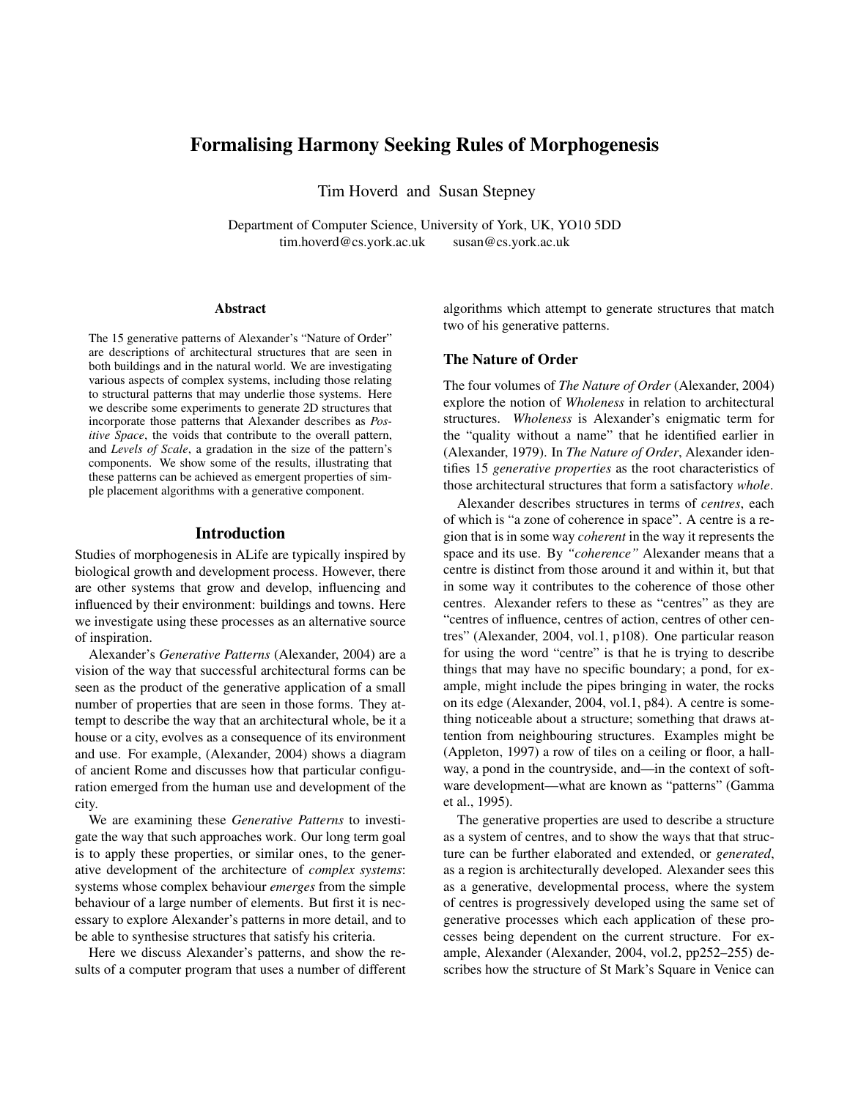# Formalising Harmony Seeking Rules of Morphogenesis

Tim Hoverd and Susan Stepney

Department of Computer Science, University of York, UK, YO10 5DD tim.hoverd@cs.york.ac.uk susan@cs.york.ac.uk

#### **Abstract**

The 15 generative patterns of Alexander's "Nature of Order" are descriptions of architectural structures that are seen in both buildings and in the natural world. We are investigating various aspects of complex systems, including those relating to structural patterns that may underlie those systems. Here we describe some experiments to generate 2D structures that incorporate those patterns that Alexander describes as *Positive Space*, the voids that contribute to the overall pattern, and *Levels of Scale*, a gradation in the size of the pattern's components. We show some of the results, illustrating that these patterns can be achieved as emergent properties of simple placement algorithms with a generative component.

#### Introduction

Studies of morphogenesis in ALife are typically inspired by biological growth and development process. However, there are other systems that grow and develop, influencing and influenced by their environment: buildings and towns. Here we investigate using these processes as an alternative source of inspiration.

Alexander's *Generative Patterns* (Alexander, 2004) are a vision of the way that successful architectural forms can be seen as the product of the generative application of a small number of properties that are seen in those forms. They attempt to describe the way that an architectural whole, be it a house or a city, evolves as a consequence of its environment and use. For example, (Alexander, 2004) shows a diagram of ancient Rome and discusses how that particular configuration emerged from the human use and development of the city.

We are examining these *Generative Patterns* to investigate the way that such approaches work. Our long term goal is to apply these properties, or similar ones, to the generative development of the architecture of *complex systems*: systems whose complex behaviour *emerges* from the simple behaviour of a large number of elements. But first it is necessary to explore Alexander's patterns in more detail, and to be able to synthesise structures that satisfy his criteria.

Here we discuss Alexander's patterns, and show the results of a computer program that uses a number of different algorithms which attempt to generate structures that match two of his generative patterns.

### The Nature of Order

The four volumes of *The Nature of Order* (Alexander, 2004) explore the notion of *Wholeness* in relation to architectural structures. *Wholeness* is Alexander's enigmatic term for the "quality without a name" that he identified earlier in (Alexander, 1979). In *The Nature of Order*, Alexander identifies 15 *generative properties* as the root characteristics of those architectural structures that form a satisfactory *whole*.

Alexander describes structures in terms of *centres*, each of which is "a zone of coherence in space". A centre is a region that is in some way *coherent* in the way it represents the space and its use. By *"coherence"* Alexander means that a centre is distinct from those around it and within it, but that in some way it contributes to the coherence of those other centres. Alexander refers to these as "centres" as they are "centres of influence, centres of action, centres of other centres" (Alexander, 2004, vol.1, p108). One particular reason for using the word "centre" is that he is trying to describe things that may have no specific boundary; a pond, for example, might include the pipes bringing in water, the rocks on its edge (Alexander, 2004, vol.1, p84). A centre is something noticeable about a structure; something that draws attention from neighbouring structures. Examples might be (Appleton, 1997) a row of tiles on a ceiling or floor, a hallway, a pond in the countryside, and—in the context of software development—what are known as "patterns" (Gamma et al., 1995).

The generative properties are used to describe a structure as a system of centres, and to show the ways that that structure can be further elaborated and extended, or *generated*, as a region is architecturally developed. Alexander sees this as a generative, developmental process, where the system of centres is progressively developed using the same set of generative processes which each application of these processes being dependent on the current structure. For example, Alexander (Alexander, 2004, vol.2, pp252–255) describes how the structure of St Mark's Square in Venice can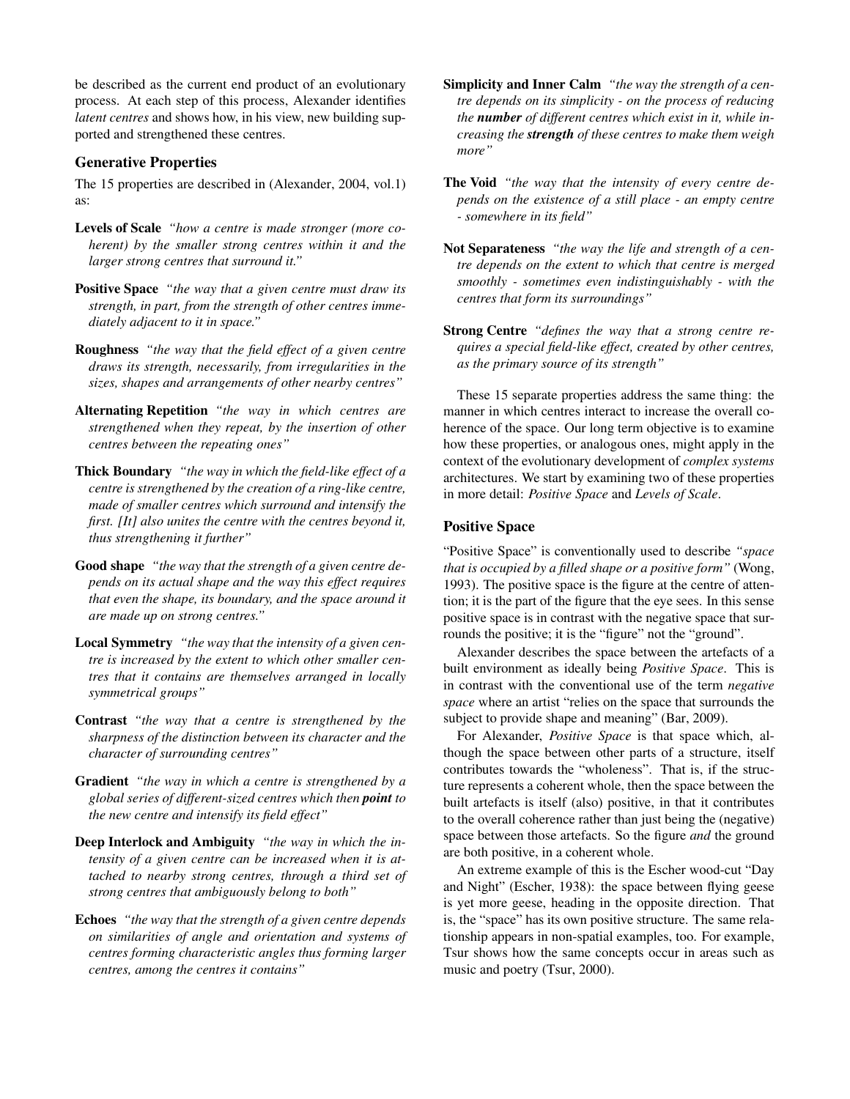be described as the current end product of an evolutionary process. At each step of this process, Alexander identifies *latent centres* and shows how, in his view, new building supported and strengthened these centres.

### Generative Properties

The 15 properties are described in (Alexander, 2004, vol.1) as:

- Levels of Scale *"how a centre is made stronger (more coherent) by the smaller strong centres within it and the larger strong centres that surround it."*
- Positive Space *"the way that a given centre must draw its strength, in part, from the strength of other centres immediately adjacent to it in space."*
- Roughness *"the way that the field effect of a given centre draws its strength, necessarily, from irregularities in the sizes, shapes and arrangements of other nearby centres"*
- Alternating Repetition *"the way in which centres are strengthened when they repeat, by the insertion of other centres between the repeating ones"*
- Thick Boundary *"the way in which the field-like effect of a centre is strengthened by the creation of a ring-like centre, made of smaller centres which surround and intensify the first. [It] also unites the centre with the centres beyond it, thus strengthening it further"*
- Good shape *"the way that the strength of a given centre depends on its actual shape and the way this effect requires that even the shape, its boundary, and the space around it are made up on strong centres."*
- Local Symmetry *"the way that the intensity of a given centre is increased by the extent to which other smaller centres that it contains are themselves arranged in locally symmetrical groups"*
- Contrast *"the way that a centre is strengthened by the sharpness of the distinction between its character and the character of surrounding centres"*
- Gradient *"the way in which a centre is strengthened by a global series of different-sized centres which then point to the new centre and intensify its field effect"*
- Deep Interlock and Ambiguity *"the way in which the intensity of a given centre can be increased when it is attached to nearby strong centres, through a third set of strong centres that ambiguously belong to both"*
- Echoes *"the way that the strength of a given centre depends on similarities of angle and orientation and systems of centres forming characteristic angles thus forming larger centres, among the centres it contains"*
- Simplicity and Inner Calm *"the way the strength of a centre depends on its simplicity - on the process of reducing the number of different centres which exist in it, while increasing the strength of these centres to make them weigh more"*
- The Void *"the way that the intensity of every centre depends on the existence of a still place - an empty centre - somewhere in its field"*
- Not Separateness *"the way the life and strength of a centre depends on the extent to which that centre is merged smoothly - sometimes even indistinguishably - with the centres that form its surroundings"*
- Strong Centre *"defines the way that a strong centre requires a special field-like effect, created by other centres, as the primary source of its strength"*

These 15 separate properties address the same thing: the manner in which centres interact to increase the overall coherence of the space. Our long term objective is to examine how these properties, or analogous ones, might apply in the context of the evolutionary development of *complex systems* architectures. We start by examining two of these properties in more detail: *Positive Space* and *Levels of Scale*.

#### Positive Space

"Positive Space" is conventionally used to describe *"space that is occupied by a filled shape or a positive form"* (Wong, 1993). The positive space is the figure at the centre of attention; it is the part of the figure that the eye sees. In this sense positive space is in contrast with the negative space that surrounds the positive; it is the "figure" not the "ground".

Alexander describes the space between the artefacts of a built environment as ideally being *Positive Space*. This is in contrast with the conventional use of the term *negative space* where an artist "relies on the space that surrounds the subject to provide shape and meaning" (Bar, 2009).

For Alexander, *Positive Space* is that space which, although the space between other parts of a structure, itself contributes towards the "wholeness". That is, if the structure represents a coherent whole, then the space between the built artefacts is itself (also) positive, in that it contributes to the overall coherence rather than just being the (negative) space between those artefacts. So the figure *and* the ground are both positive, in a coherent whole.

An extreme example of this is the Escher wood-cut "Day and Night" (Escher, 1938): the space between flying geese is yet more geese, heading in the opposite direction. That is, the "space" has its own positive structure. The same relationship appears in non-spatial examples, too. For example, Tsur shows how the same concepts occur in areas such as music and poetry (Tsur, 2000).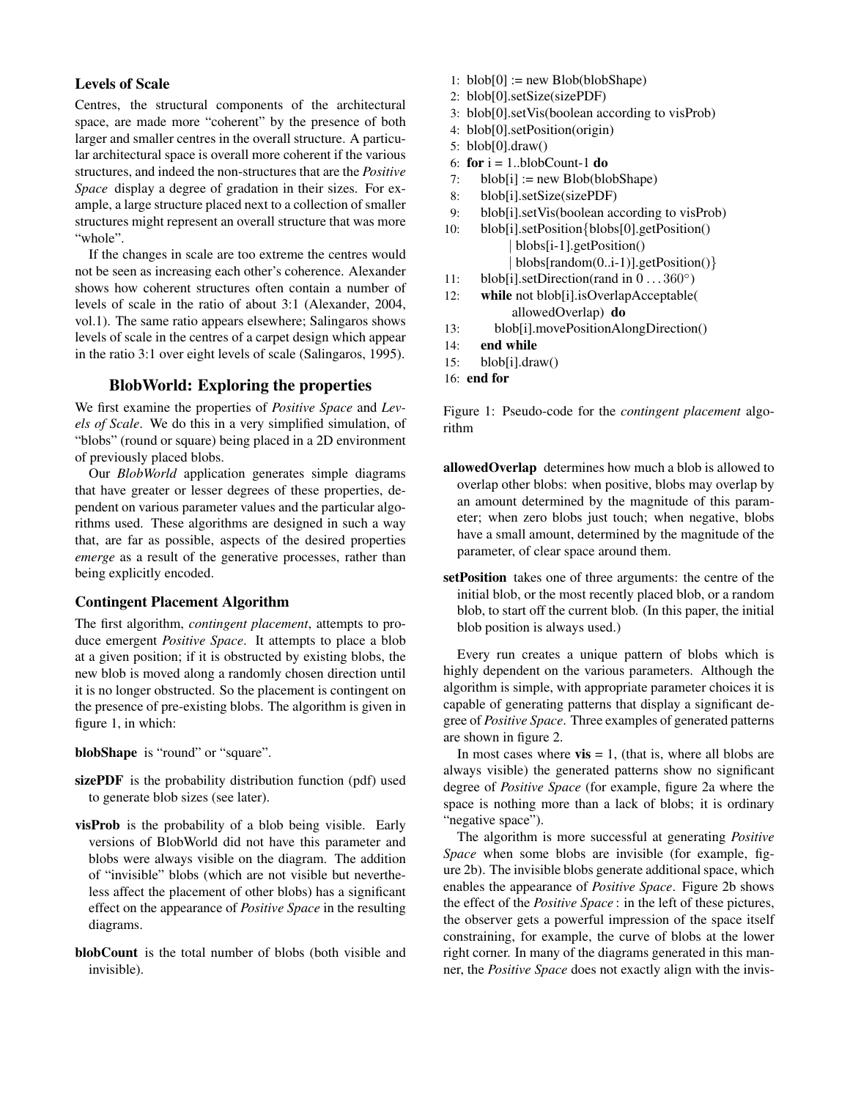# Levels of Scale

Centres, the structural components of the architectural space, are made more "coherent" by the presence of both larger and smaller centres in the overall structure. A particular architectural space is overall more coherent if the various structures, and indeed the non-structures that are the *Positive Space* display a degree of gradation in their sizes. For example, a large structure placed next to a collection of smaller structures might represent an overall structure that was more "whole".

If the changes in scale are too extreme the centres would not be seen as increasing each other's coherence. Alexander shows how coherent structures often contain a number of levels of scale in the ratio of about 3:1 (Alexander, 2004, vol.1). The same ratio appears elsewhere; Salingaros shows levels of scale in the centres of a carpet design which appear in the ratio 3:1 over eight levels of scale (Salingaros, 1995).

# BlobWorld: Exploring the properties

We first examine the properties of *Positive Space* and *Levels of Scale*. We do this in a very simplified simulation, of "blobs" (round or square) being placed in a 2D environment of previously placed blobs.

Our *BlobWorld* application generates simple diagrams that have greater or lesser degrees of these properties, dependent on various parameter values and the particular algorithms used. These algorithms are designed in such a way that, are far as possible, aspects of the desired properties *emerge* as a result of the generative processes, rather than being explicitly encoded.

### Contingent Placement Algorithm

The first algorithm, *contingent placement*, attempts to produce emergent *Positive Space*. It attempts to place a blob at a given position; if it is obstructed by existing blobs, the new blob is moved along a randomly chosen direction until it is no longer obstructed. So the placement is contingent on the presence of pre-existing blobs. The algorithm is given in figure 1, in which:

blobShape is "round" or "square".

- sizePDF is the probability distribution function (pdf) used to generate blob sizes (see later).
- visProb is the probability of a blob being visible. Early versions of BlobWorld did not have this parameter and blobs were always visible on the diagram. The addition of "invisible" blobs (which are not visible but nevertheless affect the placement of other blobs) has a significant effect on the appearance of *Positive Space* in the resulting diagrams.
- blobCount is the total number of blobs (both visible and invisible).
- 1:  $blob[0] := new Blob(bbShape)$
- 2: blob[0].setSize(sizePDF)
- 3: blob[0].setVis(boolean according to visProb)
- 4: blob[0].setPosition(origin)
- 5: blob[0].draw()
- 6: for  $i = 1$ ..blobCount-1 do
- 7:  $\text{blob[i]} := \text{new Blob(blobShape)}$
- 8: blob[i].setSize(sizePDF)
- 9: blob[i].setVis(boolean according to visProb)
- 10: blob[i].setPosition{blobs[0].getPosition() | blobs[i-1].getPosition() | blobs[random(0..i-1)].getPosition()}
- 11: blob[i].setDirection(rand in 0 . . . 360°)
- 12: while not blob[i].isOverlapAcceptable( allowedOverlap) do
- 13: blob[i].movePositionAlongDirection()
- 14: end while
- 15: blob[i].draw()
- 16: end for

Figure 1: Pseudo-code for the *contingent placement* algorithm

- allowedOverlap determines how much a blob is allowed to overlap other blobs: when positive, blobs may overlap by an amount determined by the magnitude of this parameter; when zero blobs just touch; when negative, blobs have a small amount, determined by the magnitude of the parameter, of clear space around them.
- setPosition takes one of three arguments: the centre of the initial blob, or the most recently placed blob, or a random blob, to start off the current blob. (In this paper, the initial blob position is always used.)

Every run creates a unique pattern of blobs which is highly dependent on the various parameters. Although the algorithm is simple, with appropriate parameter choices it is capable of generating patterns that display a significant degree of *Positive Space*. Three examples of generated patterns are shown in figure 2.

In most cases where  $vis = 1$ , (that is, where all blobs are always visible) the generated patterns show no significant degree of *Positive Space* (for example, figure 2a where the space is nothing more than a lack of blobs; it is ordinary "negative space").

The algorithm is more successful at generating *Positive Space* when some blobs are invisible (for example, figure 2b). The invisible blobs generate additional space, which enables the appearance of *Positive Space*. Figure 2b shows the effect of the *Positive Space* : in the left of these pictures, the observer gets a powerful impression of the space itself constraining, for example, the curve of blobs at the lower right corner. In many of the diagrams generated in this manner, the *Positive Space* does not exactly align with the invis-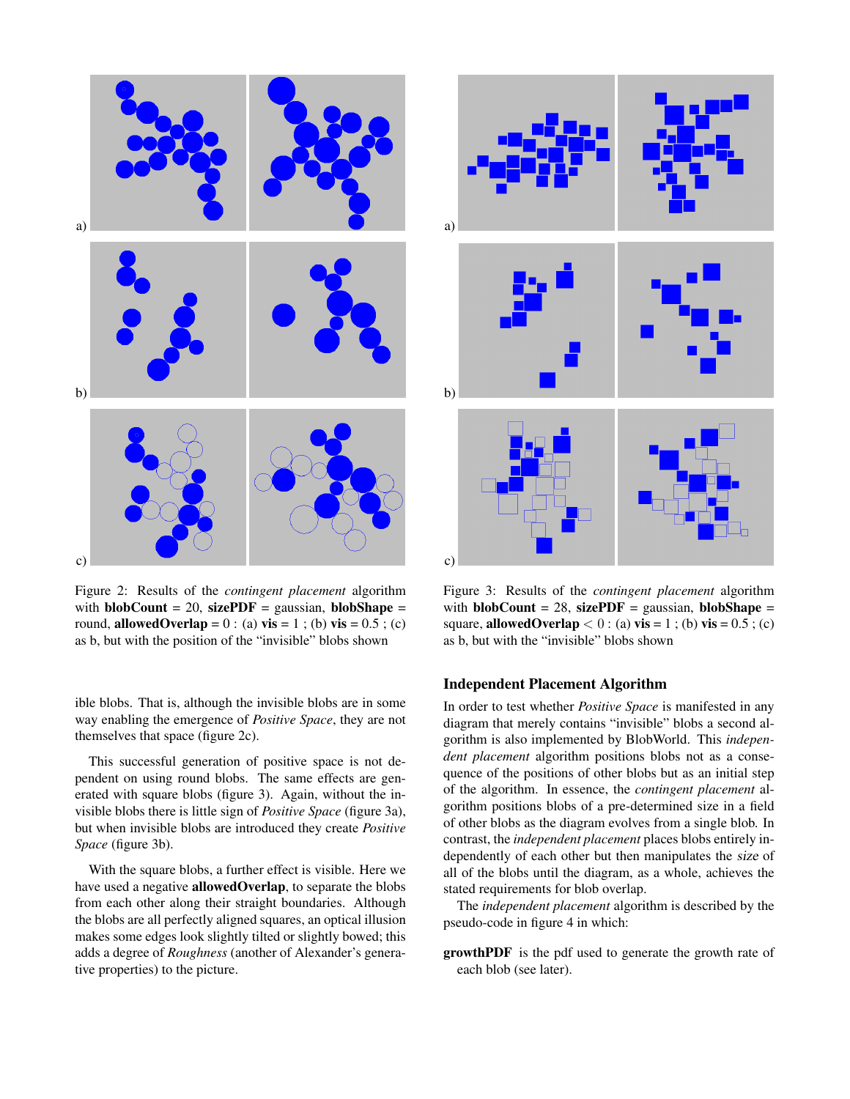

Figure 2: Results of the *contingent placement* algorithm with **blobCount** = 20, sizePDF = gaussian, **blobShape** = round, allowedOverlap =  $0$  : (a) vis = 1; (b) vis = 0.5; (c) as b, but with the position of the "invisible" blobs shown

ible blobs. That is, although the invisible blobs are in some way enabling the emergence of *Positive Space*, they are not themselves that space (figure 2c).

This successful generation of positive space is not dependent on using round blobs. The same effects are generated with square blobs (figure 3). Again, without the invisible blobs there is little sign of *Positive Space* (figure 3a), but when invisible blobs are introduced they create *Positive Space* (figure 3b).

With the square blobs, a further effect is visible. Here we have used a negative allowedOverlap, to separate the blobs from each other along their straight boundaries. Although the blobs are all perfectly aligned squares, an optical illusion makes some edges look slightly tilted or slightly bowed; this adds a degree of *Roughness* (another of Alexander's generative properties) to the picture.



Figure 3: Results of the *contingent placement* algorithm with **blobCount** = 28, sizePDF = gaussian, **blobShape** = square, **allowedOverlap** < 0 : (a)  $\text{vis} = 1$ ; (b)  $\text{vis} = 0.5$ ; (c) as b, but with the "invisible" blobs shown

#### Independent Placement Algorithm

In order to test whether *Positive Space* is manifested in any diagram that merely contains "invisible" blobs a second algorithm is also implemented by BlobWorld. This *independent placement* algorithm positions blobs not as a consequence of the positions of other blobs but as an initial step of the algorithm. In essence, the *contingent placement* algorithm positions blobs of a pre-determined size in a field of other blobs as the diagram evolves from a single blob. In contrast, the *independent placement* places blobs entirely independently of each other but then manipulates the size of all of the blobs until the diagram, as a whole, achieves the stated requirements for blob overlap.

The *independent placement* algorithm is described by the pseudo-code in figure 4 in which:

growthPDF is the pdf used to generate the growth rate of each blob (see later).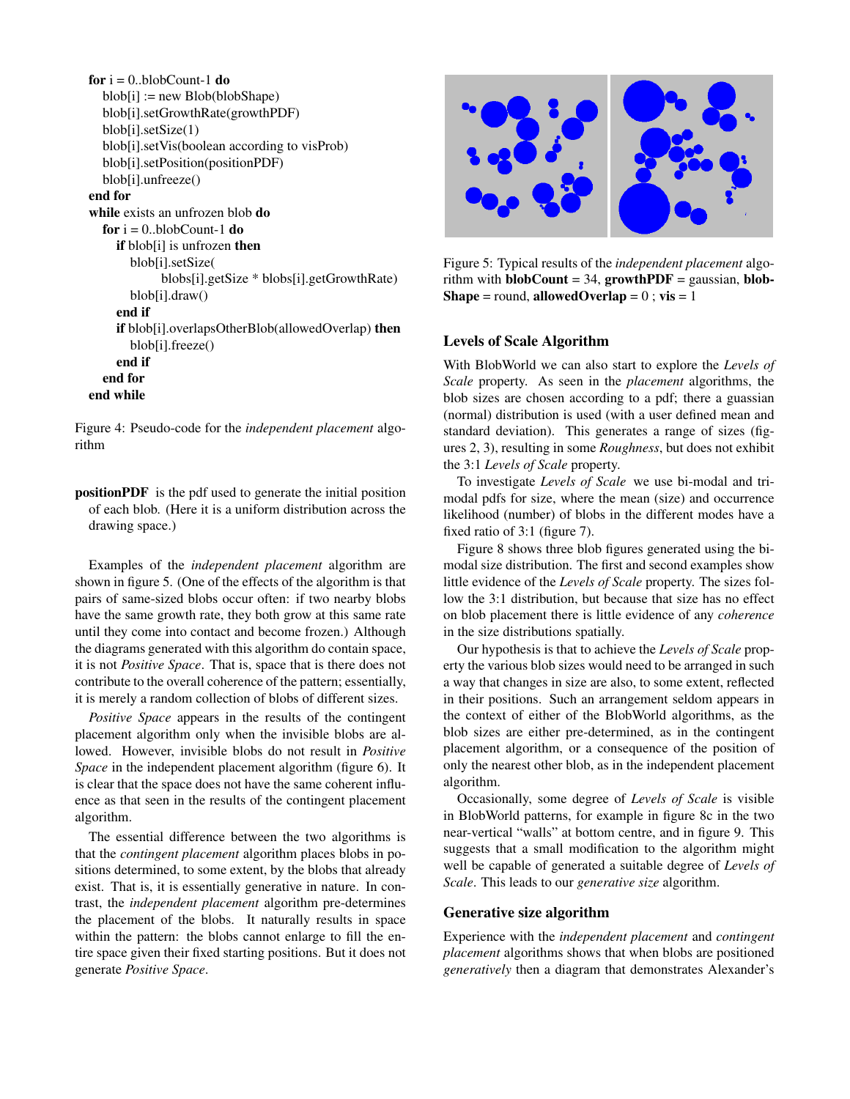```
for i = 0..blobCount-1 do
  blob[i] := new Blob(blobShape)
  blob[i].setGrowthRate(growthPDF)
  blob[i].setSize(1)
  blob[i].setVis(boolean according to visProb)
  blob[i].setPosition(positionPDF)
  blob[i].unfreeze()
end for
while exists an unfrozen blob do
  for i = 0..blobCount-1 do
     if blob[i] is unfrozen then
       blob[i].setSize(
             blobs[i].getSize * blobs[i].getGrowthRate)
       blob[i].draw()
     end if
     if blob[i].overlapsOtherBlob(allowedOverlap) then
       blob[i].freeze()
     end if
  end for
end while
```
Figure 4: Pseudo-code for the *independent placement* algorithm

positionPDF is the pdf used to generate the initial position of each blob. (Here it is a uniform distribution across the drawing space.)

Examples of the *independent placement* algorithm are shown in figure 5. (One of the effects of the algorithm is that pairs of same-sized blobs occur often: if two nearby blobs have the same growth rate, they both grow at this same rate until they come into contact and become frozen.) Although the diagrams generated with this algorithm do contain space, it is not *Positive Space*. That is, space that is there does not contribute to the overall coherence of the pattern; essentially, it is merely a random collection of blobs of different sizes.

*Positive Space* appears in the results of the contingent placement algorithm only when the invisible blobs are allowed. However, invisible blobs do not result in *Positive Space* in the independent placement algorithm (figure 6). It is clear that the space does not have the same coherent influence as that seen in the results of the contingent placement algorithm.

The essential difference between the two algorithms is that the *contingent placement* algorithm places blobs in positions determined, to some extent, by the blobs that already exist. That is, it is essentially generative in nature. In contrast, the *independent placement* algorithm pre-determines the placement of the blobs. It naturally results in space within the pattern: the blobs cannot enlarge to fill the entire space given their fixed starting positions. But it does not generate *Positive Space*.



Figure 5: Typical results of the *independent placement* algorithm with **blobCount** = 34,  $growthPDF = gaussian$ , **blob-**Shape = round, allowed Overlap =  $0$ ; vis = 1

### Levels of Scale Algorithm

With BlobWorld we can also start to explore the *Levels of Scale* property. As seen in the *placement* algorithms, the blob sizes are chosen according to a pdf; there a guassian (normal) distribution is used (with a user defined mean and standard deviation). This generates a range of sizes (figures 2, 3), resulting in some *Roughness*, but does not exhibit the 3:1 *Levels of Scale* property.

To investigate *Levels of Scale* we use bi-modal and trimodal pdfs for size, where the mean (size) and occurrence likelihood (number) of blobs in the different modes have a fixed ratio of 3:1 (figure 7).

Figure 8 shows three blob figures generated using the bimodal size distribution. The first and second examples show little evidence of the *Levels of Scale* property. The sizes follow the 3:1 distribution, but because that size has no effect on blob placement there is little evidence of any *coherence* in the size distributions spatially.

Our hypothesis is that to achieve the *Levels of Scale* property the various blob sizes would need to be arranged in such a way that changes in size are also, to some extent, reflected in their positions. Such an arrangement seldom appears in the context of either of the BlobWorld algorithms, as the blob sizes are either pre-determined, as in the contingent placement algorithm, or a consequence of the position of only the nearest other blob, as in the independent placement algorithm.

Occasionally, some degree of *Levels of Scale* is visible in BlobWorld patterns, for example in figure 8c in the two near-vertical "walls" at bottom centre, and in figure 9. This suggests that a small modification to the algorithm might well be capable of generated a suitable degree of *Levels of Scale*. This leads to our *generative size* algorithm.

#### Generative size algorithm

Experience with the *independent placement* and *contingent placement* algorithms shows that when blobs are positioned *generatively* then a diagram that demonstrates Alexander's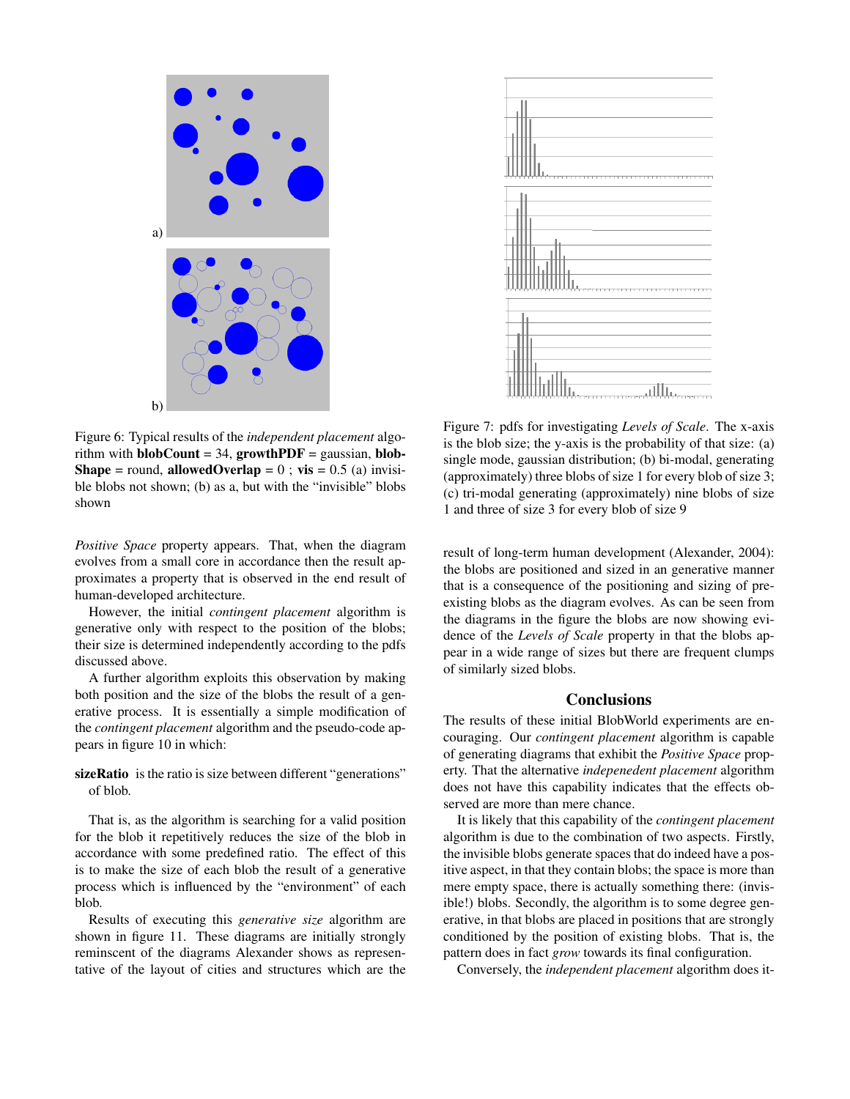

Figure 6: Typical results of the *independent placement* algorithm with **blobCount** = 34,  $growthPDF = gaussian$ , **blob-Shape** = round, **allowedOverlap** = 0; vis = 0.5 (a) invisible blobs not shown; (b) as a, but with the "invisible" blobs shown

*Positive Space* property appears. That, when the diagram evolves from a small core in accordance then the result approximates a property that is observed in the end result of human-developed architecture.

However, the initial *contingent placement* algorithm is generative only with respect to the position of the blobs; their size is determined independently according to the pdfs discussed above.

A further algorithm exploits this observation by making both position and the size of the blobs the result of a generative process. It is essentially a simple modification of the *contingent placement* algorithm and the pseudo-code appears in figure 10 in which:

sizeRatio is the ratio is size between different "generations" of blob.

That is, as the algorithm is searching for a valid position for the blob it repetitively reduces the size of the blob in accordance with some predefined ratio. The effect of this is to make the size of each blob the result of a generative process which is influenced by the "environment" of each blob.

Results of executing this *generative size* algorithm are shown in figure 11. These diagrams are initially strongly reminscent of the diagrams Alexander shows as representative of the layout of cities and structures which are the



Figure 7: pdfs for investigating *Levels of Scale*. The x-axis is the blob size; the y-axis is the probability of that size: (a) single mode, gaussian distribution; (b) bi-modal, generating (approximately) three blobs of size 1 for every blob of size 3; (c) tri-modal generating (approximately) nine blobs of size 1 and three of size 3 for every blob of size 9

result of long-term human development (Alexander, 2004): the blobs are positioned and sized in an generative manner that is a consequence of the positioning and sizing of preexisting blobs as the diagram evolves. As can be seen from the diagrams in the figure the blobs are now showing evidence of the *Levels of Scale* property in that the blobs appear in a wide range of sizes but there are frequent clumps of similarly sized blobs.

### **Conclusions**

The results of these initial BlobWorld experiments are encouraging. Our *contingent placement* algorithm is capable of generating diagrams that exhibit the *Positive Space* property. That the alternative *indepenedent placement* algorithm does not have this capability indicates that the effects observed are more than mere chance.

It is likely that this capability of the *contingent placement* algorithm is due to the combination of two aspects. Firstly, the invisible blobs generate spaces that do indeed have a positive aspect, in that they contain blobs; the space is more than mere empty space, there is actually something there: (invisible!) blobs. Secondly, the algorithm is to some degree generative, in that blobs are placed in positions that are strongly conditioned by the position of existing blobs. That is, the pattern does in fact *grow* towards its final configuration.

Conversely, the *independent placement* algorithm does it-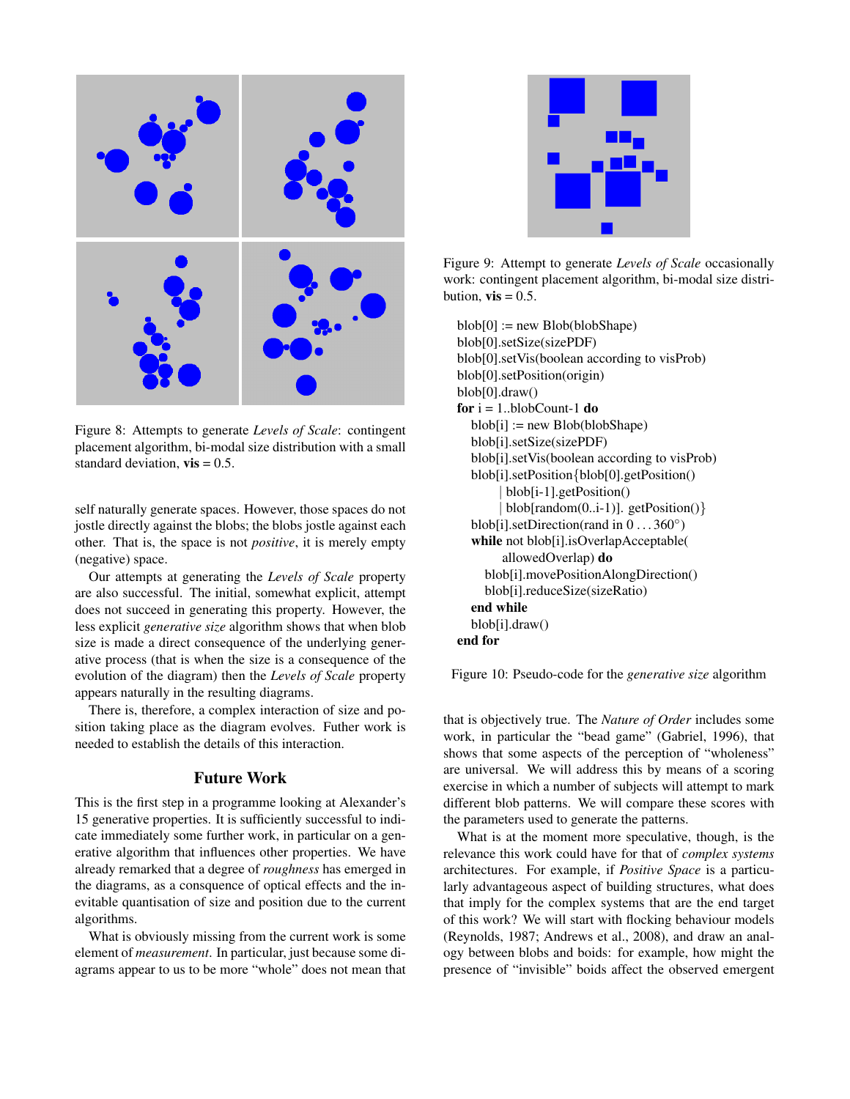

Figure 8: Attempts to generate *Levels of Scale*: contingent placement algorithm, bi-modal size distribution with a small standard deviation,  $vis = 0.5$ .

self naturally generate spaces. However, those spaces do not jostle directly against the blobs; the blobs jostle against each other. That is, the space is not *positive*, it is merely empty (negative) space.

Our attempts at generating the *Levels of Scale* property are also successful. The initial, somewhat explicit, attempt does not succeed in generating this property. However, the less explicit *generative size* algorithm shows that when blob size is made a direct consequence of the underlying generative process (that is when the size is a consequence of the evolution of the diagram) then the *Levels of Scale* property appears naturally in the resulting diagrams.

There is, therefore, a complex interaction of size and position taking place as the diagram evolves. Futher work is needed to establish the details of this interaction.

# Future Work

This is the first step in a programme looking at Alexander's 15 generative properties. It is sufficiently successful to indicate immediately some further work, in particular on a generative algorithm that influences other properties. We have already remarked that a degree of *roughness* has emerged in the diagrams, as a consquence of optical effects and the inevitable quantisation of size and position due to the current algorithms.

What is obviously missing from the current work is some element of *measurement*. In particular, just because some diagrams appear to us to be more "whole" does not mean that



Figure 9: Attempt to generate *Levels of Scale* occasionally work: contingent placement algorithm, bi-modal size distribution,  $vis = 0.5$ .

 $blob[0] := new Blob(blobShape)$ blob[0].setSize(sizePDF) blob[0].setVis(boolean according to visProb) blob[0].setPosition(origin) blob[0].draw() for  $i = 1$ ..blobCount-1 do  $blob[i] := new Blob(blobShape)$ blob[i].setSize(sizePDF) blob[i].setVis(boolean according to visProb) blob[i].setPosition{blob[0].getPosition() | blob[i-1].getPosition()  $blob[random(0..i-1)]$ . getPosition()} blob[i].setDirection(rand in  $0...360^{\circ}$ ) while not blob[i].isOverlapAcceptable( allowedOverlap) do blob[i].movePositionAlongDirection() blob[i].reduceSize(sizeRatio) end while blob[i].draw() end for

Figure 10: Pseudo-code for the *generative size* algorithm

that is objectively true. The *Nature of Order* includes some work, in particular the "bead game" (Gabriel, 1996), that shows that some aspects of the perception of "wholeness" are universal. We will address this by means of a scoring exercise in which a number of subjects will attempt to mark different blob patterns. We will compare these scores with the parameters used to generate the patterns.

What is at the moment more speculative, though, is the relevance this work could have for that of *complex systems* architectures. For example, if *Positive Space* is a particularly advantageous aspect of building structures, what does that imply for the complex systems that are the end target of this work? We will start with flocking behaviour models (Reynolds, 1987; Andrews et al., 2008), and draw an analogy between blobs and boids: for example, how might the presence of "invisible" boids affect the observed emergent